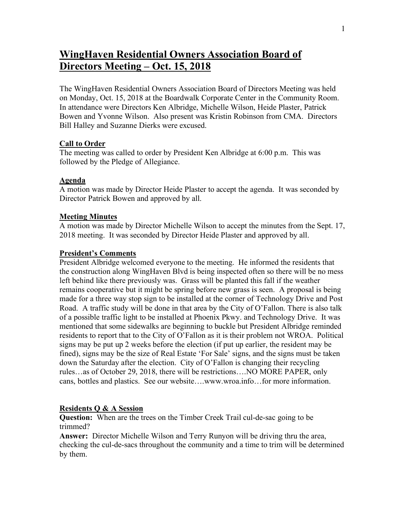# **WingHaven Residential Owners Association Board of Directors Meeting – Oct. 15, 2018**

The WingHaven Residential Owners Association Board of Directors Meeting was held on Monday, Oct. 15, 2018 at the Boardwalk Corporate Center in the Community Room. In attendance were Directors Ken Albridge, Michelle Wilson, Heide Plaster, Patrick Bowen and Yvonne Wilson. Also present was Kristin Robinson from CMA. Directors Bill Halley and Suzanne Dierks were excused.

### **Call to Order**

The meeting was called to order by President Ken Albridge at 6:00 p.m. This was followed by the Pledge of Allegiance.

### **Agenda**

A motion was made by Director Heide Plaster to accept the agenda. It was seconded by Director Patrick Bowen and approved by all.

#### **Meeting Minutes**

A motion was made by Director Michelle Wilson to accept the minutes from the Sept. 17, 2018 meeting. It was seconded by Director Heide Plaster and approved by all.

#### **President's Comments**

President Albridge welcomed everyone to the meeting. He informed the residents that the construction along WingHaven Blvd is being inspected often so there will be no mess left behind like there previously was. Grass will be planted this fall if the weather remains cooperative but it might be spring before new grass is seen. A proposal is being made for a three way stop sign to be installed at the corner of Technology Drive and Post Road. A traffic study will be done in that area by the City of O'Fallon. There is also talk of a possible traffic light to be installed at Phoenix Pkwy. and Technology Drive. It was mentioned that some sidewalks are beginning to buckle but President Albridge reminded residents to report that to the City of O'Fallon as it is their problem not WROA. Political signs may be put up 2 weeks before the election (if put up earlier, the resident may be fined), signs may be the size of Real Estate 'For Sale' signs, and the signs must be taken down the Saturday after the election. City of O'Fallon is changing their recycling rules…as of October 29, 2018, there will be restrictions….NO MORE PAPER, only cans, bottles and plastics. See our website….www.wroa.info…for more information.

#### **Residents Q & A Session**

**Question:** When are the trees on the Timber Creek Trail cul-de-sac going to be trimmed?

**Answer:** Director Michelle Wilson and Terry Runyon will be driving thru the area, checking the cul-de-sacs throughout the community and a time to trim will be determined by them.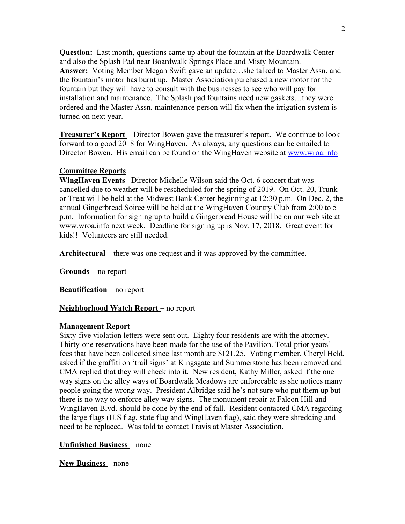**Question:** Last month, questions came up about the fountain at the Boardwalk Center and also the Splash Pad near Boardwalk Springs Place and Misty Mountain. **Answer:** Voting Member Megan Swift gave an update…she talked to Master Assn. and the fountain's motor has burnt up. Master Association purchased a new motor for the fountain but they will have to consult with the businesses to see who will pay for installation and maintenance. The Splash pad fountains need new gaskets…they were ordered and the Master Assn. maintenance person will fix when the irrigation system is turned on next year.

**Treasurer's Report** – Director Bowen gave the treasurer's report. We continue to look forward to a good 2018 for WingHaven. As always, any questions can be emailed to Director Bowen. His email can be found on the WingHaven website at www.wroa.info

## **Committee Reports**

**WingHaven Events –**Director Michelle Wilson said the Oct. 6 concert that was cancelled due to weather will be rescheduled for the spring of 2019. On Oct. 20, Trunk or Treat will be held at the Midwest Bank Center beginning at 12:30 p.m. On Dec. 2, the annual Gingerbread Soiree will be held at the WingHaven Country Club from 2:00 to 5 p.m. Information for signing up to build a Gingerbread House will be on our web site at www.wroa.info next week. Deadline for signing up is Nov. 17, 2018. Great event for kids!! Volunteers are still needed.

**Architectural –** there was one request and it was approved by the committee.

**Grounds –** no report

**Beautification** – no report

#### **Neighborhood Watch Report** – no report

#### **Management Report**

Sixty-five violation letters were sent out. Eighty four residents are with the attorney. Thirty-one reservations have been made for the use of the Pavilion. Total prior years' fees that have been collected since last month are \$121.25. Voting member, Cheryl Held, asked if the graffiti on 'trail signs' at Kingsgate and Summerstone has been removed and CMA replied that they will check into it. New resident, Kathy Miller, asked if the one way signs on the alley ways of Boardwalk Meadows are enforceable as she notices many people going the wrong way. President Albridge said he's not sure who put them up but there is no way to enforce alley way signs. The monument repair at Falcon Hill and WingHaven Blvd. should be done by the end of fall. Resident contacted CMA regarding the large flags (U.S flag, state flag and WingHaven flag), said they were shredding and need to be replaced. Was told to contact Travis at Master Association.

#### **Unfinished Business** – none

**New Business** – none